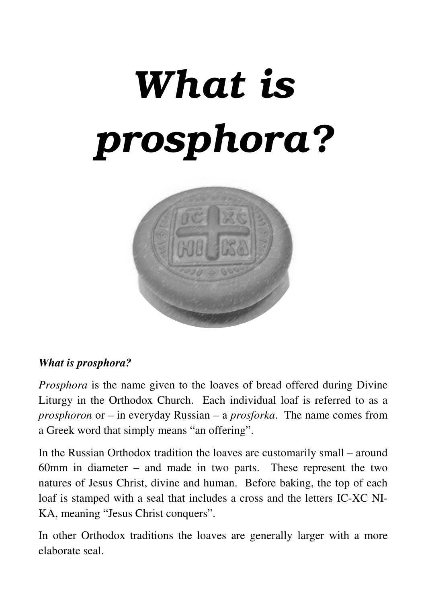# What is prosphora?



#### *What is prosphora?*

*Prosphora* is the name given to the loaves of bread offered during Divine Liturgy in the Orthodox Church. Each individual loaf is referred to as a *prosphoron* or – in everyday Russian – a *prosforka*. The name comes from a Greek word that simply means "an offering".

In the Russian Orthodox tradition the loaves are customarily small – around 60mm in diameter – and made in two parts. These represent the two natures of Jesus Christ, divine and human. Before baking, the top of each loaf is stamped with a seal that includes a cross and the letters IC-XC NI-KA, meaning "Jesus Christ conquers".

In other Orthodox traditions the loaves are generally larger with a more elaborate seal.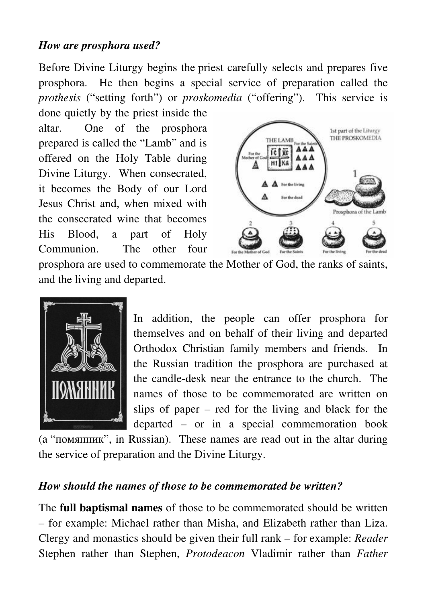#### *How are prosphora used?*

Before Divine Liturgy begins the priest carefully selects and prepares five prosphora. He then begins a special service of preparation called the *prothesis* ("setting forth") or *proskomedia* ("offering"). This service is

done quietly by the priest inside the altar. One of the prosphora prepared is called the "Lamb" and is offered on the Holy Table during Divine Liturgy. When consecrated, it becomes the Body of our Lord Jesus Christ and, when mixed with the consecrated wine that becomes His Blood, a part of Holy Communion. The other four



prosphora are used to commemorate the Mother of God, the ranks of saints, and the living and departed.



In addition, the people can offer prosphora for themselves and on behalf of their living and departed Orthodox Christian family members and friends. In the Russian tradition the prosphora are purchased at the candle-desk near the entrance to the church. The names of those to be commemorated are written on slips of paper – red for the living and black for the departed – or in a special commemoration book

(a "помянник", in Russian). These names are read out in the altar during the service of preparation and the Divine Liturgy.

#### *How should the names of those to be commemorated be written?*

The **full baptismal names** of those to be commemorated should be written – for example: Michael rather than Misha, and Elizabeth rather than Liza. Clergy and monastics should be given their full rank – for example: *Reader* Stephen rather than Stephen, *Protodeacon* Vladimir rather than *Father*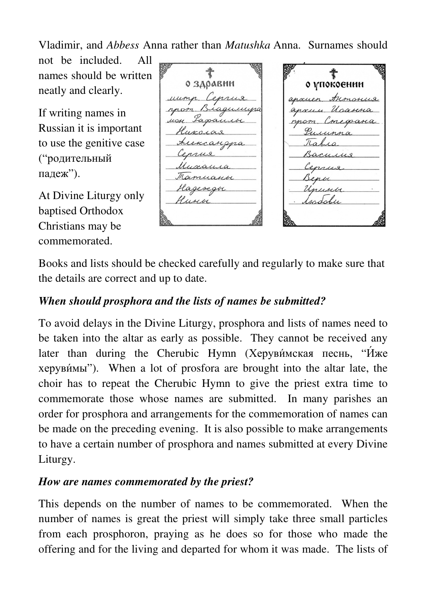Vladimir, and *Abbess* Anna rather than *Matushka* Anna. Surnames should

not be included. All names should be written neatly and clearly.

If writing names in Russian it is important to use the genitive case ("родительный падеж").

At Divine Liturgy only baptised Orthodox Christians may be commemorated.

о здравни Ceprus uump.  $\Omega$ Biaguinipa Lapanico worras Arexcangga Museaura Mamuanoe Hagencave Hunoi

€ о упокоєнии answer Armorius Magnuna Conegrana rpom. Pulunna Kahia Bacuna Ceprus Benbe Unusibe. isadabu

Books and lists should be checked carefully and regularly to make sure that the details are correct and up to date.

## *When should prosphora and the lists of names be submitted?*

To avoid delays in the Divine Liturgy, prosphora and lists of names need to be taken into the altar as early as possible. They cannot be received any later than during the Cherubic Hymn (Херуви́мская песнь, "И́же херуви́мы"). When a lot of prosfora are brought into the altar late, the choir has to repeat the Cherubic Hymn to give the priest extra time to commemorate those whose names are submitted. In many parishes an order for prosphora and arrangements for the commemoration of names can be made on the preceding evening. It is also possible to make arrangements to have a certain number of prosphora and names submitted at every Divine Liturgy.

#### *How are names commemorated by the priest?*

This depends on the number of names to be commemorated. When the number of names is great the priest will simply take three small particles from each prosphoron, praying as he does so for those who made the offering and for the living and departed for whom it was made. The lists of